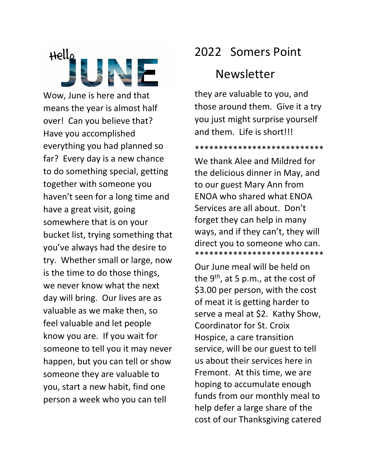Hello

Wow, June is here and that means the year is almost half over! Can you believe that? Have you accomplished everything you had planned so far? Every day is a new chance to do something special, getting together with someone you haven't seen for a long time and have a great visit, going somewhere that is on your bucket list, trying something that you've always had the desire to try. Whether small or large, now is the time to do those things, we never know what the next day will bring. Our lives are as valuable as we make then, so feel valuable and let people know you are. If you wait for someone to tell you it may never happen, but you can tell or show someone they are valuable to you, start a new habit, find one person a week who you can tell

## 2022 Somers Point

## Newsletter

they are valuable to you, and those around them. Give it a try you just might surprise yourself and them. Life is short!!!

\*\*\*\*\*\*\*\*\*\*\*\*\*\*\*\*\*\*\*\*\*\*\*\*\*\*\*

We thank Alee and Mildred for the delicious dinner in May, and to our guest Mary Ann from ENOA who shared what ENOA Services are all about. Don't forget they can help in many ways, and if they can't, they will direct you to someone who can. \*\*\*\*\*\*\*\*\*\*\*\*\*\*\*\*\*\*\*\*\*\*\*\*\*\*\*

Our June meal will be held on the 9<sup>th</sup>, at 5 p.m., at the cost of \$3.00 per person, with the cost of meat it is getting harder to serve a meal at \$2. Kathy Show, Coordinator for St. Croix Hospice, a care transition service, will be our guest to tell us about their services here in Fremont. At this time, we are hoping to accumulate enough funds from our monthly meal to help defer a large share of the cost of our Thanksgiving catered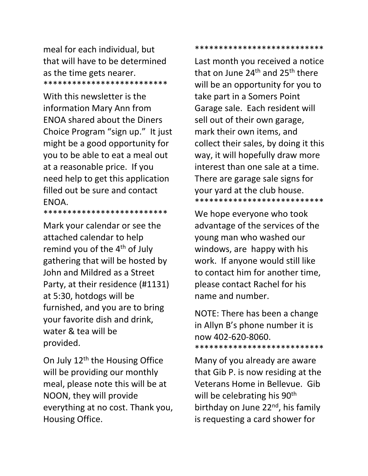meal for each individual, but that will have to be determined as the time gets nearer. \*\*\*\*\*\*\*\*\*\*\*\*\*\*\*\*\*\*\*\*\*\*\*\*\*\*

With this newsletter is the information Mary Ann from ENOA shared about the Diners Choice Program "sign up." It just might be a good opportunity for you to be able to eat a meal out at a reasonable price. If you need help to get this application filled out be sure and contact ENOA. \*\*\*\*\*\*\*\*\*\*\*\*\*\*\*\*\*\*\*\*\*\*\*\*\*\*

Mark your calendar or see the attached calendar to help remind you of the 4<sup>th</sup> of July gathering that will be hosted by John and Mildred as a Street Party, at their residence (#1131) at 5:30, hotdogs will be furnished, and you are to bring your favorite dish and drink, water & tea will be provided.

On July 12<sup>th</sup> the Housing Office will be providing our monthly meal, please note this will be at NOON, they will provide everything at no cost. Thank you, Housing Office.

\*\*\*\*\*\*\*\*\*\*\*\*\*\*\*\*\*\*\*\*\*\*\*\*\*\*\*

Last month you received a notice that on June  $24<sup>th</sup>$  and  $25<sup>th</sup>$  there will be an opportunity for you to take part in a Somers Point Garage sale. Each resident will sell out of their own garage, mark their own items, and collect their sales, by doing it this way, it will hopefully draw more interest than one sale at a time. There are garage sale signs for your yard at the club house. \*\*\*\*\*\*\*\*\*\*\*\*\*\*\*\*\*\*\*\*\*\*\*\*\*\*\*

We hope everyone who took advantage of the services of the young man who washed our windows, are happy with his work. If anyone would still like to contact him for another time, please contact Rachel for his name and number.

NOTE: There has been a change in Allyn B's phone number it is now 402-620-8060. \*\*\*\*\*\*\*\*\*\*\*\*\*\*\*\*\*\*\*\*\*\*\*\*\*\*\*

Many of you already are aware that Gib P. is now residing at the Veterans Home in Bellevue. Gib will be celebrating his 90<sup>th</sup> birthday on June 22<sup>nd</sup>, his family is requesting a card shower for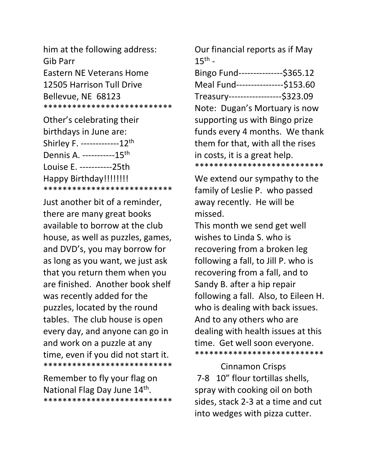him at the following address: Gib Parr Eastern NE Veterans Home 12505 Harrison Tull Drive Bellevue, NE 68123 \*\*\*\*\*\*\*\*\*\*\*\*\*\*\*\*\*\*\*\*\*\*\*\*\*\*\*

Other's celebrating their birthdays in June are: Shirley F. -------------12<sup>th</sup> Dennis A. -----------15<sup>th</sup> Louise E. -----------25th Happy Birthday!!!!!!!!! \*\*\*\*\*\*\*\*\*\*\*\*\*\*\*\*\*\*\*\*\*\*\*\*\*\*\*

Just another bit of a reminder, there are many great books available to borrow at the club house, as well as puzzles, games, and DVD's, you may borrow for as long as you want, we just ask that you return them when you are finished. Another book shelf was recently added for the puzzles, located by the round tables. The club house is open every day, and anyone can go in and work on a puzzle at any time, even if you did not start it. \*\*\*\*\*\*\*\*\*\*\*\*\*\*\*\*\*\*\*\*\*\*\*\*\*\*\*

Remember to fly your flag on National Flag Day June 14<sup>th</sup>. \*\*\*\*\*\*\*\*\*\*\*\*\*\*\*\*\*\*\*\*\*\*\*\*\*\*\* Our financial reports as if May  $15^{\text{th}}$  -

Bingo Fund---------------\$365.12 Meal Fund----------------\$153.60 Treasury------------------\$323.09 Note: Dugan's Mortuary is now supporting us with Bingo prize funds every 4 months. We thank them for that, with all the rises in costs, it is a great help. \*\*\*\*\*\*\*\*\*\*\*\*\*\*\*\*\*\*\*\*\*\*\*\*\*\*\*

We extend our sympathy to the family of Leslie P. who passed away recently. He will be missed.

This month we send get well wishes to Linda S. who is recovering from a broken leg following a fall, to Jill P. who is recovering from a fall, and to Sandy B. after a hip repair following a fall. Also, to Eileen H. who is dealing with back issues. And to any others who are dealing with health issues at this time. Get well soon everyone. \*\*\*\*\*\*\*\*\*\*\*\*\*\*\*\*\*\*\*\*\*\*\*\*\*\*\*

 Cinnamon Crisps 7-8 10" flour tortillas shells, spray with cooking oil on both sides, stack 2-3 at a time and cut into wedges with pizza cutter.